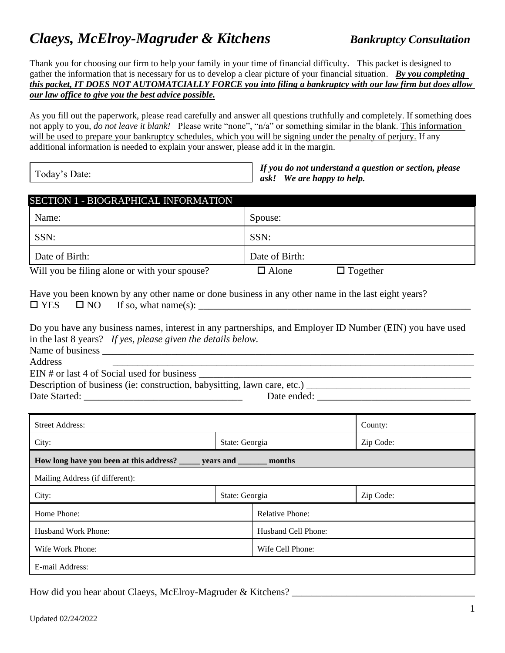# *Claeys, McElroy-Magruder & Kitchens Bankruptcy Consultation*

Thank you for choosing our firm to help your family in your time of financial difficulty. This packet is designed to gather the information that is necessary for us to develop a clear picture of your financial situation. *By you completing this packet, IT DOES NOT AUTOMATCIALLY FORCE you into filing a bankruptcy with our law firm but does allow our law office to give you the best advice possible.*

As you fill out the paperwork, please read carefully and answer all questions truthfully and completely. If something does not apply to you, *do not leave it blank!* Please write "none", "n/a" or something similar in the blank. This information will be used to prepare your bankruptcy schedules, which you will be signing under the penalty of perjury. If any additional information is needed to explain your answer, please add it in the margin.

Today's Date:

*If you do not understand a question or section, please ask! We are happy to help.*

| SECTION 1 - BIOGRAPHICAL INFORMATION                                                                                                                                     |                        |                     |  |  |
|--------------------------------------------------------------------------------------------------------------------------------------------------------------------------|------------------------|---------------------|--|--|
| Name:                                                                                                                                                                    | Spouse:                |                     |  |  |
| SSN:                                                                                                                                                                     | SSN:                   |                     |  |  |
| Date of Birth:                                                                                                                                                           | Date of Birth:         |                     |  |  |
| Will you be filing alone or with your spouse?                                                                                                                            | $\Box$ Alone           | $\Box$ Together     |  |  |
| Have you been known by any other name or done business in any other name in the last eight years?<br>$\Box$ YES                                                          |                        |                     |  |  |
| Do you have any business names, interest in any partnerships, and Employer ID Number (EIN) you have used<br>in the last 8 years? If yes, please given the details below. |                        |                     |  |  |
| Address<br>EIN # or last 4 of Social used for business                                                                                                                   |                        |                     |  |  |
| Description of business (ie: construction, babysitting, lawn care, etc.) ___________________________                                                                     |                        |                     |  |  |
|                                                                                                                                                                          |                        |                     |  |  |
|                                                                                                                                                                          |                        |                     |  |  |
| <b>Street Address:</b>                                                                                                                                                   |                        | County:             |  |  |
| City:                                                                                                                                                                    | State: Georgia         |                     |  |  |
| How long have you been at this address? ______ years and _______ months                                                                                                  |                        |                     |  |  |
| Mailing Address (if different):                                                                                                                                          |                        |                     |  |  |
| City:                                                                                                                                                                    | State: Georgia         | Zip Code:           |  |  |
| Home Phone:                                                                                                                                                              | <b>Relative Phone:</b> |                     |  |  |
| Husband Work Phone:                                                                                                                                                      |                        | Husband Cell Phone: |  |  |
| Wife Work Phone:                                                                                                                                                         |                        | Wife Cell Phone:    |  |  |
| E-mail Address:                                                                                                                                                          |                        |                     |  |  |

How did you hear about Claeys, McElroy-Magruder & Kitchens? \_\_\_\_\_\_\_\_\_\_\_\_\_\_\_\_\_\_\_\_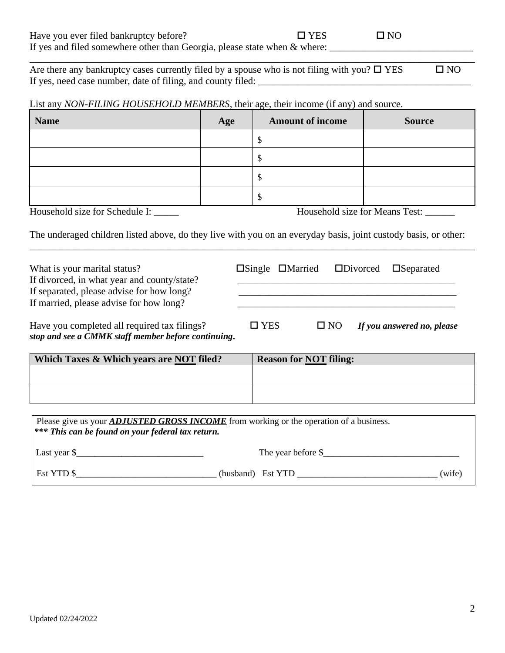| Are there any bankruptcy cases currently filed by a spouse who is not filing with you? $\square$ YES | $\square$ NO |
|------------------------------------------------------------------------------------------------------|--------------|
| If yes, need case number, date of filing, and county filed:                                          |              |

\_\_\_\_\_\_\_\_\_\_\_\_\_\_\_\_\_\_\_\_\_\_\_\_\_\_\_\_\_\_\_\_\_\_\_\_\_\_\_\_\_\_\_\_\_\_\_\_\_\_\_\_\_\_\_\_\_\_\_\_\_\_\_\_\_\_\_\_\_\_\_\_\_\_\_\_\_\_\_\_\_\_\_\_\_\_\_\_\_\_

List any *NON-FILING HOUSEHOLD MEMBERS*, their age, their income (if any) and source.

| <b>Name</b> | Age | <b>Amount of income</b> | <b>Source</b> |
|-------------|-----|-------------------------|---------------|
|             |     |                         |               |
|             |     | N.D                     |               |
|             |     | мF                      |               |
|             |     | N.D                     |               |

\_\_\_\_\_\_\_\_\_\_\_\_\_\_\_\_\_\_\_\_\_\_\_\_\_\_\_\_\_\_\_\_\_\_\_\_\_\_\_\_\_\_\_\_\_\_\_\_\_\_\_\_\_\_\_\_\_\_\_\_\_\_\_\_\_\_\_\_\_\_\_\_\_\_\_\_\_\_\_\_\_\_\_\_\_\_\_\_\_\_

What is your marital status? Single DMarried Divorced DSeparated If divorced, in what year and county/state?

Household size for Schedule I: \_\_\_\_\_\_ Household size for Means Test: \_\_\_\_\_\_

The underaged children listed above, do they live with you on an everyday basis, joint custody basis, or other:

| If separated, please advise for how long?<br>If married, please advise for how long?                |               |                               |                            |
|-----------------------------------------------------------------------------------------------------|---------------|-------------------------------|----------------------------|
| Have you completed all required tax filings?<br>stop and see a CMMK staff member before continuing. | $\square$ YES | $\Box$ NO                     | If you answered no, please |
| Which Taxes & Which years are NOT filed?                                                            |               | <b>Reason for NOT filing:</b> |                            |

| Which Taxes & Which years are NOT filed? | <b>Reason for NOT filing:</b> |
|------------------------------------------|-------------------------------|
|                                          |                               |
|                                          |                               |
|                                          |                               |

| Please give us your <b>ADJUSTED GROSS INCOME</b> from working or the operation of a business.<br><b>***</b> This can be found on your federal tax return. |                   |                    |        |
|-----------------------------------------------------------------------------------------------------------------------------------------------------------|-------------------|--------------------|--------|
| Last year $\frac{1}{2}$                                                                                                                                   |                   | The year before \$ |        |
| Est YTD \$                                                                                                                                                | (husband) Est YTD |                    | (wife) |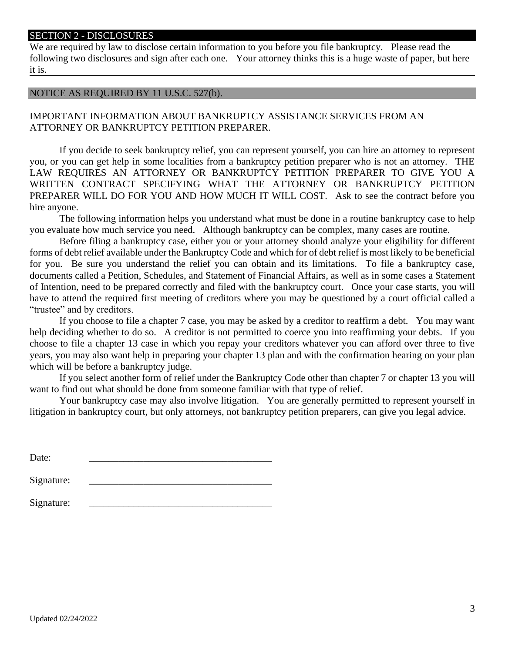#### SECTION 2 - DISCLOSURES

We are required by law to disclose certain information to you before you file bankruptcy. Please read the following two disclosures and sign after each one. Your attorney thinks this is a huge waste of paper, but here it is.

#### NOTICE AS REQUIRED BY 11 U.S.C. 527(b).

IMPORTANT INFORMATION ABOUT BANKRUPTCY ASSISTANCE SERVICES FROM AN ATTORNEY OR BANKRUPTCY PETITION PREPARER.

If you decide to seek bankruptcy relief, you can represent yourself, you can hire an attorney to represent you, or you can get help in some localities from a bankruptcy petition preparer who is not an attorney. THE LAW REQUIRES AN ATTORNEY OR BANKRUPTCY PETITION PREPARER TO GIVE YOU A WRITTEN CONTRACT SPECIFYING WHAT THE ATTORNEY OR BANKRUPTCY PETITION PREPARER WILL DO FOR YOU AND HOW MUCH IT WILL COST. Ask to see the contract before you hire anyone.

The following information helps you understand what must be done in a routine bankruptcy case to help you evaluate how much service you need. Although bankruptcy can be complex, many cases are routine.

Before filing a bankruptcy case, either you or your attorney should analyze your eligibility for different forms of debt relief available under the Bankruptcy Code and which for of debt relief is most likely to be beneficial for you. Be sure you understand the relief you can obtain and its limitations. To file a bankruptcy case, documents called a Petition, Schedules, and Statement of Financial Affairs, as well as in some cases a Statement of Intention, need to be prepared correctly and filed with the bankruptcy court. Once your case starts, you will have to attend the required first meeting of creditors where you may be questioned by a court official called a "trustee" and by creditors.

If you choose to file a chapter 7 case, you may be asked by a creditor to reaffirm a debt. You may want help deciding whether to do so. A creditor is not permitted to coerce you into reaffirming your debts. If you choose to file a chapter 13 case in which you repay your creditors whatever you can afford over three to five years, you may also want help in preparing your chapter 13 plan and with the confirmation hearing on your plan which will be before a bankruptcy judge.

If you select another form of relief under the Bankruptcy Code other than chapter 7 or chapter 13 you will want to find out what should be done from someone familiar with that type of relief.

Your bankruptcy case may also involve litigation. You are generally permitted to represent yourself in litigation in bankruptcy court, but only attorneys, not bankruptcy petition preparers, can give you legal advice.

| Date:      |  |
|------------|--|
|            |  |
| Signature: |  |
|            |  |
| Signature: |  |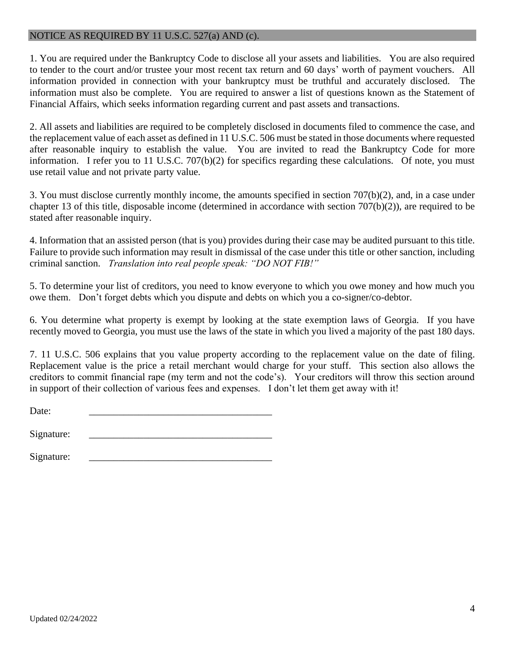# NOTICE AS REQUIRED BY 11 U.S.C. 527(a) AND (c).

1. You are required under the Bankruptcy Code to disclose all your assets and liabilities. You are also required to tender to the court and/or trustee your most recent tax return and 60 days' worth of payment vouchers. All information provided in connection with your bankruptcy must be truthful and accurately disclosed. The information must also be complete. You are required to answer a list of questions known as the Statement of Financial Affairs, which seeks information regarding current and past assets and transactions.

2. All assets and liabilities are required to be completely disclosed in documents filed to commence the case, and the replacement value of each asset as defined in 11 U.S.C. 506 must be stated in those documents where requested after reasonable inquiry to establish the value. You are invited to read the Bankruptcy Code for more information. I refer you to 11 U.S.C. 707(b)(2) for specifics regarding these calculations. Of note, you must use retail value and not private party value.

3. You must disclose currently monthly income, the amounts specified in section 707(b)(2), and, in a case under chapter 13 of this title, disposable income (determined in accordance with section 707(b)(2)), are required to be stated after reasonable inquiry.

4. Information that an assisted person (that is you) provides during their case may be audited pursuant to this title. Failure to provide such information may result in dismissal of the case under this title or other sanction, including criminal sanction. *Translation into real people speak: "DO NOT FIB!"*

5. To determine your list of creditors, you need to know everyone to which you owe money and how much you owe them. Don't forget debts which you dispute and debts on which you a co-signer/co-debtor.

6. You determine what property is exempt by looking at the state exemption laws of Georgia. If you have recently moved to Georgia, you must use the laws of the state in which you lived a majority of the past 180 days.

7. 11 U.S.C. 506 explains that you value property according to the replacement value on the date of filing. Replacement value is the price a retail merchant would charge for your stuff. This section also allows the creditors to commit financial rape (my term and not the code's). Your creditors will throw this section around in support of their collection of various fees and expenses. I don't let them get away with it!

Date: \_\_\_\_\_\_\_\_\_\_\_\_\_\_\_\_\_\_\_\_\_\_\_\_\_\_\_\_\_\_\_\_\_\_\_\_\_

Signature:

Signature: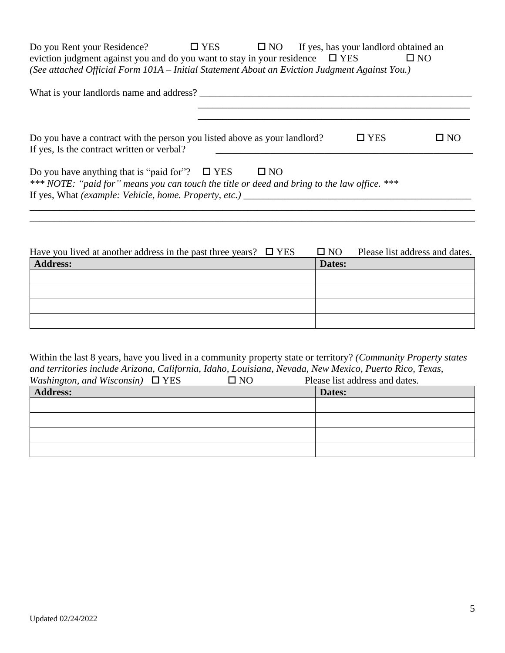Do you Rent your Residence?  $\Box$  YES  $\Box$  NO If yes, has your landlord obtained an eviction judgment against you and do you want to stay in your residence  $\Box$  YES  $\Box$  NO *(See attached Official Form 101A – Initial Statement About an Eviction Judgment Against You.)*

| What is your landlords name and address?                                                                                                                                                                                               |               |              |
|----------------------------------------------------------------------------------------------------------------------------------------------------------------------------------------------------------------------------------------|---------------|--------------|
| Do you have a contract with the person you listed above as your landlord?<br>If yes, Is the contract written or verbal?                                                                                                                | $\square$ YES | $\square$ NO |
| Do you have anything that is "paid for"? $\square$ YES<br>$\square$ NO<br>*** NOTE: "paid for" means you can touch the title or deed and bring to the law office. ***<br>If yes, What (example: Vehicle, home. Property, etc.) _______ |               |              |

\_\_\_\_\_\_\_\_\_\_\_\_\_\_\_\_\_\_\_\_\_\_\_\_\_\_\_\_\_\_\_\_\_\_\_\_\_\_\_\_\_\_\_\_\_\_\_\_\_\_\_\_\_\_\_\_\_\_\_\_\_\_\_\_\_\_\_\_\_\_\_\_\_\_\_\_\_\_\_\_\_\_\_\_\_\_\_\_\_\_ \_\_\_\_\_\_\_\_\_\_\_\_\_\_\_\_\_\_\_\_\_\_\_\_\_\_\_\_\_\_\_\_\_\_\_\_\_\_\_\_\_\_\_\_\_\_\_\_\_\_\_\_\_\_\_\_\_\_\_\_\_\_\_\_\_\_\_\_\_\_\_\_\_\_\_\_\_\_\_\_\_\_\_\_\_\_\_\_\_\_

| Have you lived at another address in the past three years? $\Box$ YES | $\square$ NO | Please list address and dates. |
|-----------------------------------------------------------------------|--------------|--------------------------------|
| <b>Address:</b>                                                       | Dates:       |                                |
|                                                                       |              |                                |
|                                                                       |              |                                |
|                                                                       |              |                                |
|                                                                       |              |                                |
|                                                                       |              |                                |

Within the last 8 years, have you lived in a community property state or territory? *(Community Property states and territories include Arizona, California, Idaho, Louisiana, Nevada, New Mexico, Puerto Rico, Texas,*   $W$ ashington, and Wisconsin)  $\Box$  YES

| <i>Washington, and Wisconsin)</i> $\Box$ IES | LI INU | Prease itst address and dates. |
|----------------------------------------------|--------|--------------------------------|
| <b>Address:</b>                              |        | Dates:                         |
|                                              |        |                                |
|                                              |        |                                |
|                                              |        |                                |
|                                              |        |                                |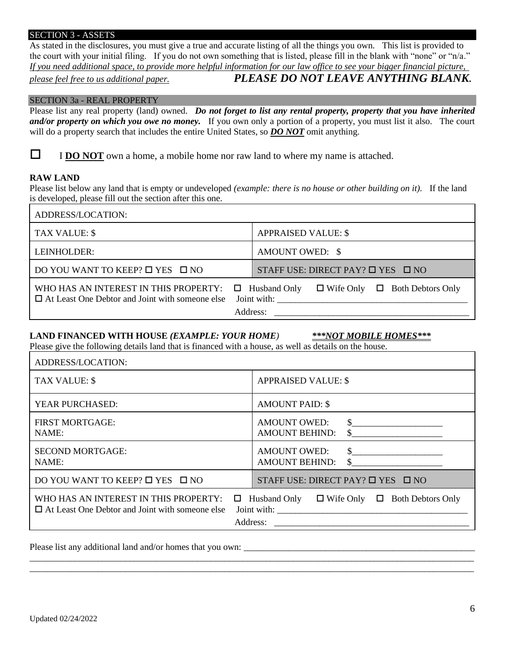#### SECTION 3 - ASSETS

As stated in the disclosures, you must give a true and accurate listing of all the things you own. This list is provided to the court with your initial filing. If you do not own something that is listed, please fill in the blank with "none" or "n/a." *If you need additional space, to provide more helpful information for our law office to see your bigger financial picture,* 

# *please feel free to us additional paper. PLEASE DO NOT LEAVE ANYTHING BLANK***.**

#### SECTION 3a - REAL PROPERTY

Please list any real property (land) owned. *Do not forget to list any rental property, property that you have inherited and/or property on which you owe no money.* If you own only a portion of a property, you must list it also. The court will do a property search that includes the entire United States, so *DO NOT* omit anything.

 $\Box$  **IDO NOT** own a home, a mobile home nor raw land to where my name is attached.

#### **RAW LAND**

Please list below any land that is empty or undeveloped *(example: there is no house or other building on it).* If the land is developed, please fill out the section after this one.

| ADDRESS/LOCATION:                                                                               |                                                                                             |
|-------------------------------------------------------------------------------------------------|---------------------------------------------------------------------------------------------|
| TAX VALUE: \$                                                                                   | <b>APPRAISED VALUE: \$</b>                                                                  |
| LEINHOLDER:                                                                                     | AMOUNT OWED: \$                                                                             |
| DO YOU WANT TO KEEP? □ YES □ NO                                                                 | STAFF USE: DIRECT PAY? $\Box$ YES $\Box$ NO                                                 |
| WHO HAS AN INTEREST IN THIS PROPERTY:<br>$\Box$ At Least One Debtor and Joint with someone else | $\Box$ Wife Only $\Box$ Both Debtors Only<br>$\Box$ Husband Only<br>Joint with:<br>Address: |

### LAND FINANCED WITH HOUSE *(EXAMPLE: YOUR HOME)* \*\*\**NOT MOBILE HOMES*\*\*\*

Please give the following details land that is financed with a house, as well as details on the house.

| ADDRESS/LOCATION:                                                                                           |                                                                                 |
|-------------------------------------------------------------------------------------------------------------|---------------------------------------------------------------------------------|
| TAX VALUE: \$                                                                                               | <b>APPRAISED VALUE: \$</b>                                                      |
| YEAR PURCHASED:                                                                                             | <b>AMOUNT PAID: \$</b>                                                          |
| <b>FIRST MORTGAGE:</b><br>NAME:                                                                             | <b>AMOUNT OWED:</b><br>$\sim$<br><b>AMOUNT BEHIND:</b>                          |
| <b>SECOND MORTGAGE:</b><br>NAME:                                                                            | <b>AMOUNT OWED:</b><br><b>AMOUNT BEHIND:</b><br>$\mathcal{S}$                   |
| DO YOU WANT TO KEEP? $\Box$ YES $\Box$ NO                                                                   | STAFF USE: DIRECT PAY? $\Box$ YES $\Box$ NO                                     |
| WHO HAS AN INTEREST IN THIS PROPERTY:<br>$\Box$ At Least One Debtor and Joint with someone else<br>Address: | $\Box$ Husband Only<br>$\Box$ Wife Only $\Box$ Both Debtors Only<br>Joint with: |

\_\_\_\_\_\_\_\_\_\_\_\_\_\_\_\_\_\_\_\_\_\_\_\_\_\_\_\_\_\_\_\_\_\_\_\_\_\_\_\_\_\_\_\_\_\_\_\_\_\_\_\_\_\_\_\_\_\_\_\_\_\_\_\_\_\_\_\_\_\_\_\_\_\_\_\_\_\_\_\_\_\_\_\_\_\_\_\_\_\_\_\_\_\_\_\_\_\_ \_\_\_\_\_\_\_\_\_\_\_\_\_\_\_\_\_\_\_\_\_\_\_\_\_\_\_\_\_\_\_\_\_\_\_\_\_\_\_\_\_\_\_\_\_\_\_\_\_\_\_\_\_\_\_\_\_\_\_\_\_\_\_\_\_\_\_\_\_\_\_\_\_\_\_\_\_\_\_\_\_\_\_\_\_\_\_\_\_\_\_\_\_\_\_\_\_\_

Please list any additional land and/or homes that you own: \_\_\_\_\_\_\_\_\_\_\_\_\_\_\_\_\_\_\_\_\_\_\_\_\_\_\_\_\_\_\_\_\_\_\_\_\_\_\_\_\_\_\_\_\_\_\_\_\_\_\_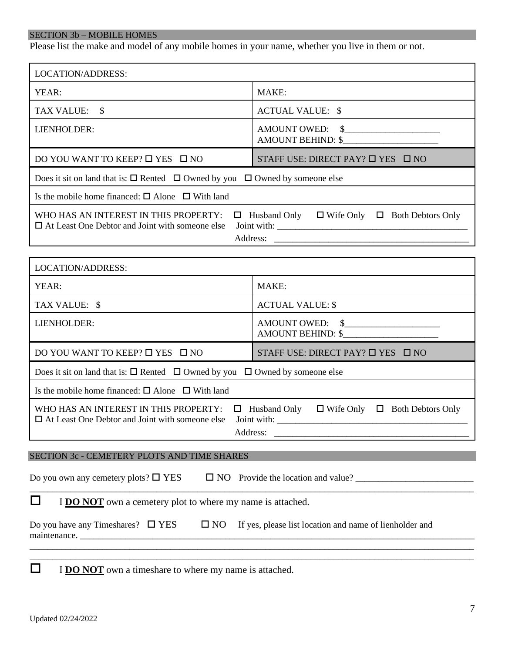# SECTION 3b – MOBILE HOMES

Please list the make and model of any mobile homes in your name, whether you live in them or not.

| LOCATION/ADDRESS:                                                                                                                                                                                                                                                                                                        |                                                               |  |  |
|--------------------------------------------------------------------------------------------------------------------------------------------------------------------------------------------------------------------------------------------------------------------------------------------------------------------------|---------------------------------------------------------------|--|--|
| YEAR:                                                                                                                                                                                                                                                                                                                    | MAKE:                                                         |  |  |
| TAX VALUE: \$                                                                                                                                                                                                                                                                                                            | <b>ACTUAL VALUE: \$</b>                                       |  |  |
| LIENHOLDER:                                                                                                                                                                                                                                                                                                              | AMOUNT OWED: \$<br>AMOUNT BEHIND: \$                          |  |  |
| DO YOU WANT TO KEEP? □ YES □ NO                                                                                                                                                                                                                                                                                          | STAFF USE: DIRECT PAY? $\Box$ YES $\Box$ NO                   |  |  |
| Does it sit on land that is: $\square$ Rented $\square$ Owned by you $\square$ Owned by someone else                                                                                                                                                                                                                     |                                                               |  |  |
| Is the mobile home financed: $\square$ Alone $\square$ With land                                                                                                                                                                                                                                                         |                                                               |  |  |
| WHO HAS AN INTEREST IN THIS PROPERTY:<br>$\Box$ At Least One Debtor and Joint with someone else                                                                                                                                                                                                                          | $\Box$ Husband Only $\Box$ Wife Only $\Box$ Both Debtors Only |  |  |
|                                                                                                                                                                                                                                                                                                                          |                                                               |  |  |
| LOCATION/ADDRESS:                                                                                                                                                                                                                                                                                                        |                                                               |  |  |
| YEAR:<br>MAKE:                                                                                                                                                                                                                                                                                                           |                                                               |  |  |
| TAX VALUE: \$                                                                                                                                                                                                                                                                                                            | <b>ACTUAL VALUE: \$</b>                                       |  |  |
| AMOUNT OWED: \$<br>LIENHOLDER:<br><b>AMOUNT BEHIND: \$</b>                                                                                                                                                                                                                                                               |                                                               |  |  |
| DO YOU WANT TO KEEP? □ YES □ NO<br>STAFF USE: DIRECT PAY? $\Box$ YES $\Box$ NO                                                                                                                                                                                                                                           |                                                               |  |  |
| Does it sit on land that is: $\square$ Rented $\square$ Owned by you $\square$ Owned by someone else                                                                                                                                                                                                                     |                                                               |  |  |
| Is the mobile home financed: $\square$ Alone $\square$ With land                                                                                                                                                                                                                                                         |                                                               |  |  |
| WHO HAS AN INTEREST IN THIS PROPERTY:<br>$\Box$ Husband Only<br>$\Box$ Wife Only $\Box$ Both Debtors Only<br>$\Box$ At Least One Debtor and Joint with someone else<br>Joint with:<br><u> Antonio de Antonio de Antonio de Antonio de Antonio de Antonio de Antonio de Antonio de Antonio de Antonio de </u><br>Address: |                                                               |  |  |
| SECTION 3c - CEMETERY PLOTS AND TIME SHARES                                                                                                                                                                                                                                                                              |                                                               |  |  |
| Do you own any cemetery plots? $\square$ YES                                                                                                                                                                                                                                                                             |                                                               |  |  |
| ப<br>I <b>DO NOT</b> own a cemetery plot to where my name is attached.                                                                                                                                                                                                                                                   |                                                               |  |  |
| $\square$ NO<br>Do you have any Timeshares? $\square$ YES                                                                                                                                                                                                                                                                | If yes, please list location and name of lienholder and       |  |  |

\_\_\_\_\_\_\_\_\_\_\_\_\_\_\_\_\_\_\_\_\_\_\_\_\_\_\_\_\_\_\_\_\_\_\_\_\_\_\_\_\_\_\_\_\_\_\_\_\_\_\_\_\_\_\_\_\_\_\_\_\_\_\_\_\_\_\_\_\_\_\_\_\_\_\_\_\_\_\_\_\_\_\_\_\_\_\_\_\_\_\_\_\_\_\_\_\_\_ \_\_\_\_\_\_\_\_\_\_\_\_\_\_\_\_\_\_\_\_\_\_\_\_\_\_\_\_\_\_\_\_\_\_\_\_\_\_\_\_\_\_\_\_\_\_\_\_\_\_\_\_\_\_\_\_\_\_\_\_\_\_\_\_\_\_\_\_\_\_\_\_\_\_\_\_\_\_\_\_\_\_\_\_\_\_\_\_\_\_\_\_\_\_\_\_\_\_

**I DO NOT** own a timeshare to where my name is attached.

maintenance. \_\_\_\_\_\_\_\_\_\_\_\_\_\_\_\_\_\_\_\_\_\_\_\_\_\_\_\_\_\_\_\_\_\_\_\_\_\_\_\_\_\_\_\_\_\_\_\_\_\_\_\_\_\_\_\_\_\_\_\_\_\_\_\_\_\_\_\_\_\_\_\_\_\_\_\_\_\_\_\_\_\_\_\_\_\_\_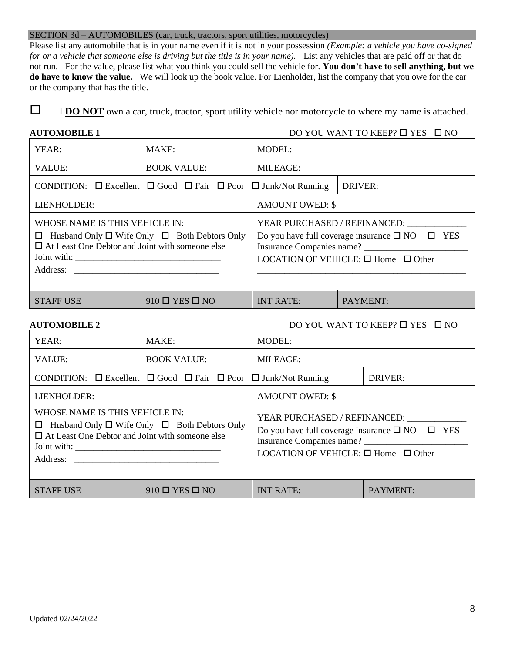#### SECTION 3d – AUTOMOBILES (car, truck, tractors, sport utilities, motorcycles)

Please list any automobile that is in your name even if it is not in your possession *(Example: a vehicle you have co-signed for or a vehicle that someone else is driving but the title is in your name).* List any vehicles that are paid off or that do not run. For the value, please list what you think you could sell the vehicle for. **You don't have to sell anything, but we do have to know the value.** We will look up the book value. For Lienholder, list the company that you owe for the car or the company that has the title.

**I DO NOT** own a car, truck, tractor, sport utility vehicle nor motorcycle to where my name is attached.

#### **AUTOMOBILE 1** DO YOU WANT TO KEEP?  $\Box$  YES  $\Box$  NO

| YEAR:                                                                                                                                                     | MAKE:                                                                                   | <b>MODEL:</b>                         |                                                                                                                                                 |
|-----------------------------------------------------------------------------------------------------------------------------------------------------------|-----------------------------------------------------------------------------------------|---------------------------------------|-------------------------------------------------------------------------------------------------------------------------------------------------|
| VALUE:                                                                                                                                                    | <b>BOOK VALUE:</b>                                                                      | <b>MILEAGE:</b>                       |                                                                                                                                                 |
|                                                                                                                                                           | CONDITION: $\Box$ Excellent $\Box$ Good $\Box$ Fair $\Box$ Poor $\Box$ Junk/Not Running | DRIVER:                               |                                                                                                                                                 |
| LIENHOLDER:                                                                                                                                               |                                                                                         | <b>AMOUNT OWED: \$</b>                |                                                                                                                                                 |
| WHOSE NAME IS THIS VEHICLE IN:<br>$\Box$ Husband Only $\Box$ Wife Only $\Box$ Both Debtors Only<br>$\Box$ At Least One Debtor and Joint with someone else |                                                                                         | Insurance Companies name? ___________ | YEAR PURCHASED / REFINANCED:<br>Do you have full coverage insurance $\square$ NO $\square$ YES<br>LOCATION OF VEHICLE: $\Box$ Home $\Box$ Other |
| <b>STAFF USE</b>                                                                                                                                          | $910 \square$ YES $\square$ NO                                                          | <b>INT RATE:</b>                      | PAYMENT:                                                                                                                                        |

**AUTOMOBILE 2** DO YOU WANT TO KEEP?  $\Box$  YES  $\Box$  NO

| YEAR:                                                                                                                                                     | MAKE:                                                                                   | <b>MODEL:</b>                                                                                                                                                                             |                |
|-----------------------------------------------------------------------------------------------------------------------------------------------------------|-----------------------------------------------------------------------------------------|-------------------------------------------------------------------------------------------------------------------------------------------------------------------------------------------|----------------|
| <b>VALUE:</b>                                                                                                                                             | <b>BOOK VALUE:</b>                                                                      | <b>MILEAGE:</b>                                                                                                                                                                           |                |
|                                                                                                                                                           | CONDITION: $\Box$ Excellent $\Box$ Good $\Box$ Fair $\Box$ Poor $\Box$ Junk/Not Running |                                                                                                                                                                                           | <b>DRIVER:</b> |
| LIENHOLDER:                                                                                                                                               |                                                                                         | <b>AMOUNT OWED: \$</b>                                                                                                                                                                    |                |
| WHOSE NAME IS THIS VEHICLE IN:<br>$\Box$ Husband Only $\Box$ Wife Only $\Box$ Both Debtors Only<br>$\Box$ At Least One Debtor and Joint with someone else |                                                                                         | YEAR PURCHASED / REFINANCED:<br>Do you have full coverage insurance $\square$ NO $\square$ YES<br>Insurance Companies name? ____________<br>LOCATION OF VEHICLE: $\Box$ Home $\Box$ Other |                |
| <b>STAFF USE</b>                                                                                                                                          | $910 \square$ YES $\square$ NO                                                          | <b>INT RATE:</b>                                                                                                                                                                          | PAYMENT:       |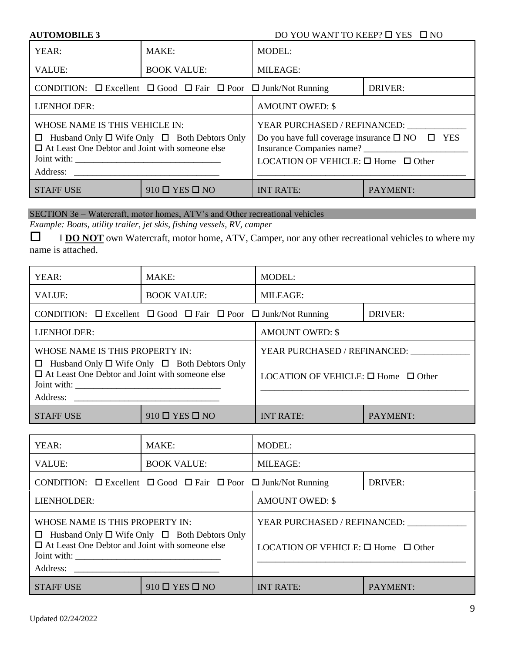#### **DO YOU WANT TO KEEP? □ YES** □ NO

| <b>AUTOMOBILE 3</b> |  |
|---------------------|--|
|---------------------|--|

| YEAR:                                                                                                                                                     | MAKE:                                                                                   | <b>MODEL:</b>                                                                                                                                                                |          |
|-----------------------------------------------------------------------------------------------------------------------------------------------------------|-----------------------------------------------------------------------------------------|------------------------------------------------------------------------------------------------------------------------------------------------------------------------------|----------|
| <b>VALUE:</b>                                                                                                                                             | <b>BOOK VALUE:</b>                                                                      | <b>MILEAGE:</b>                                                                                                                                                              |          |
|                                                                                                                                                           | CONDITION: $\Box$ Excellent $\Box$ Good $\Box$ Fair $\Box$ Poor $\Box$ Junk/Not Running | DRIVER:                                                                                                                                                                      |          |
| LIENHOLDER:                                                                                                                                               |                                                                                         | <b>AMOUNT OWED: \$</b>                                                                                                                                                       |          |
| WHOSE NAME IS THIS VEHICLE IN:<br>$\Box$ Husband Only $\Box$ Wife Only $\Box$ Both Debtors Only<br>$\Box$ At Least One Debtor and Joint with someone else |                                                                                         | YEAR PURCHASED / REFINANCED:<br>Do you have full coverage insurance $\square$ NO $\square$ YES<br>Insurance Companies name?<br>LOCATION OF VEHICLE: $\Box$ Home $\Box$ Other |          |
| <b>STAFF USE</b>                                                                                                                                          | $910 \square$ YES $\square$ NO                                                          | <b>INT RATE:</b>                                                                                                                                                             | PAYMENT: |

# SECTION 3e – Watercraft, motor homes, ATV's and Other recreational vehicles

*Example: Boats, utility trailer, jet skis, fishing vessels, RV, camper*

**I DO NOT** own Watercraft, motor home, ATV, Camper, nor any other recreational vehicles to where my name is attached.

| YEAR:                                                                                                                                                                                 | MAKE:                                                                                                  | <b>MODEL:</b>                                                                 |                 |
|---------------------------------------------------------------------------------------------------------------------------------------------------------------------------------------|--------------------------------------------------------------------------------------------------------|-------------------------------------------------------------------------------|-----------------|
| VALUE:                                                                                                                                                                                | <b>BOOK VALUE:</b>                                                                                     | <b>MILEAGE:</b>                                                               |                 |
|                                                                                                                                                                                       | CONDITION: $\square$ Excellent $\square$ Good $\square$ Fair $\square$ Poor $\square$ Junk/Not Running | <b>DRIVER:</b>                                                                |                 |
| LIENHOLDER:                                                                                                                                                                           |                                                                                                        | <b>AMOUNT OWED: \$</b>                                                        |                 |
| WHOSE NAME IS THIS PROPERTY IN:<br>$\Box$ Husband Only $\Box$ Wife Only $\Box$ Both Debtors Only<br>$\Box$ At Least One Debtor and Joint with someone else<br>Joint with:<br>Address: |                                                                                                        | YEAR PURCHASED / REFINANCED:<br>LOCATION OF VEHICLE: $\Box$ Home $\Box$ Other |                 |
| <b>STAFF USE</b>                                                                                                                                                                      | $910 \square$ YES $\square$ NO                                                                         | <b>INT RATE:</b>                                                              | <b>PAYMENT:</b> |

| YEAR:                                                                                                                   | MAKE:                                                                                   | <b>MODEL:</b>                                 |          |
|-------------------------------------------------------------------------------------------------------------------------|-----------------------------------------------------------------------------------------|-----------------------------------------------|----------|
| <b>VALUE:</b>                                                                                                           | <b>BOOK VALUE:</b>                                                                      | <b>MILEAGE:</b>                               |          |
|                                                                                                                         | CONDITION: $\Box$ Excellent $\Box$ Good $\Box$ Fair $\Box$ Poor $\Box$ Junk/Not Running | <b>DRIVER:</b>                                |          |
| LIENHOLDER:                                                                                                             |                                                                                         | <b>AMOUNT OWED: \$</b>                        |          |
| <b>WHOSE NAME IS THIS PROPERTY IN:</b>                                                                                  |                                                                                         | YEAR PURCHASED / REFINANCED:                  |          |
| $\Box$ Husband Only $\Box$ Wife Only $\Box$ Both Debtors Only<br>$\Box$ At Least One Debtor and Joint with someone else |                                                                                         | LOCATION OF VEHICLE: $\Box$ Home $\Box$ Other |          |
| <b>STAFF USE</b>                                                                                                        | $910 \square$ YES $\square$ NO                                                          | <b>INT RATE:</b>                              | PAYMENT: |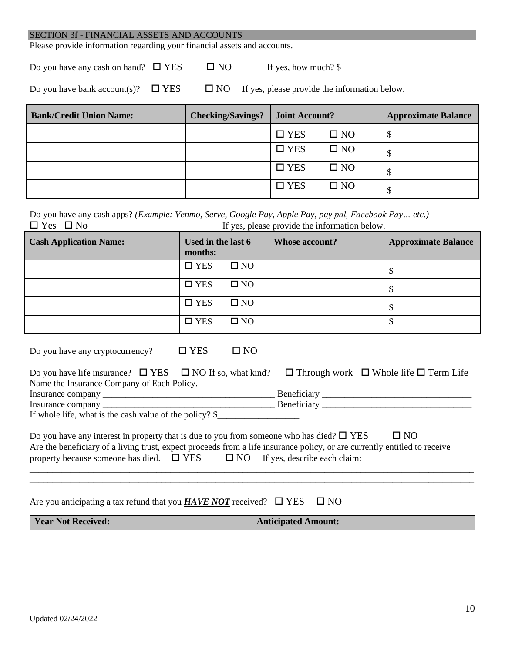Please provide information regarding your financial assets and accounts.

Do you have any cash on hand?  $\Box$  YES  $\Box$  NO If yes, how much? \$

Do you have bank account(s)?  $\Box$  YES  $\Box$  NO If yes, please provide the information below.

| <b>Bank/Credit Union Name:</b> | <b>Checking/Savings?</b> | <b>Joint Account?</b> |              | <b>Approximate Balance</b> |
|--------------------------------|--------------------------|-----------------------|--------------|----------------------------|
|                                |                          | $\square$ YES         | $\square$ NO |                            |
|                                |                          | $\square$ YES         | $\square$ NO |                            |
|                                |                          | $\square$ YES         | $\square$ NO |                            |
|                                |                          | $\Box$ YES            | $\square$ NO |                            |

Do you have any cash apps? *(Example: Venmo, Serve, Google Pay, Apple Pay, pay pal, Facebook Pay… etc.)*  $\Box$  Yes  $\Box$  No If yes, please provide the information below.

| <b>Cash Application Name:</b> | Used in the last 6<br>months: |              | <b>Whose account?</b> | <b>Approximate Balance</b> |
|-------------------------------|-------------------------------|--------------|-----------------------|----------------------------|
|                               | $\square$ YES                 | $\square$ NO |                       | ۰D                         |
|                               | $\square$ YES                 | $\square$ NO |                       | ۰D                         |
|                               | $\square$ YES                 | $\square$ NO |                       | D                          |
|                               | $\square$ YES                 | $\square$ NO |                       |                            |

Do you have any cryptocurrency?  $\Box$  YES  $\Box$  NO

|                                                                                                                                                                                                                                                                                                  | Do you have life insurance? $\Box$ YES $\Box$ NO If so, what kind? |               | $\Box$ Through work $\Box$ Whole life $\Box$ Term Life |
|--------------------------------------------------------------------------------------------------------------------------------------------------------------------------------------------------------------------------------------------------------------------------------------------------|--------------------------------------------------------------------|---------------|--------------------------------------------------------|
| Name the Insurance Company of Each Policy.                                                                                                                                                                                                                                                       |                                                                    |               |                                                        |
|                                                                                                                                                                                                                                                                                                  |                                                                    | Beneficiary _ |                                                        |
| Insurance company                                                                                                                                                                                                                                                                                |                                                                    | Beneficiary   |                                                        |
| $\mathbf{v}$ and $\mathbf{v}$ and $\mathbf{v}$ and $\mathbf{v}$ and $\mathbf{v}$ and $\mathbf{v}$ and $\mathbf{v}$ and $\mathbf{v}$ and $\mathbf{v}$ and $\mathbf{v}$ and $\mathbf{v}$ and $\mathbf{v}$ and $\mathbf{v}$ and $\mathbf{v}$ and $\mathbf{v}$ and $\mathbf{v}$ and $\mathbf{v}$ and |                                                                    |               |                                                        |

If whole life, what is the cash value of the policy?  $\$ 

Do you have any interest in property that is due to you from someone who has died?  $\Box$  YES  $\Box$  NO Are the beneficiary of a living trust, expect proceeds from a life insurance policy, or are currently entitled to receive property because someone has died.  $\Box$  YES  $\Box$  NO If yes, describe each claim: \_\_\_\_\_\_\_\_\_\_\_\_\_\_\_\_\_\_\_\_\_\_\_\_\_\_\_\_\_\_\_\_\_\_\_\_\_\_\_\_\_\_\_\_\_\_\_\_\_\_\_\_\_\_\_\_\_\_\_\_\_\_\_\_\_\_\_\_\_\_\_\_\_\_\_\_\_\_\_\_\_\_\_\_\_\_\_\_\_\_\_\_\_\_\_\_\_\_

### Are you anticipating a tax refund that you **HAVE NOT** received?  $\Box$  YES  $\Box$  NO

| <b>Year Not Received:</b> | <b>Anticipated Amount:</b> |
|---------------------------|----------------------------|
|                           |                            |
|                           |                            |
|                           |                            |

\_\_\_\_\_\_\_\_\_\_\_\_\_\_\_\_\_\_\_\_\_\_\_\_\_\_\_\_\_\_\_\_\_\_\_\_\_\_\_\_\_\_\_\_\_\_\_\_\_\_\_\_\_\_\_\_\_\_\_\_\_\_\_\_\_\_\_\_\_\_\_\_\_\_\_\_\_\_\_\_\_\_\_\_\_\_\_\_\_\_\_\_\_\_\_\_\_\_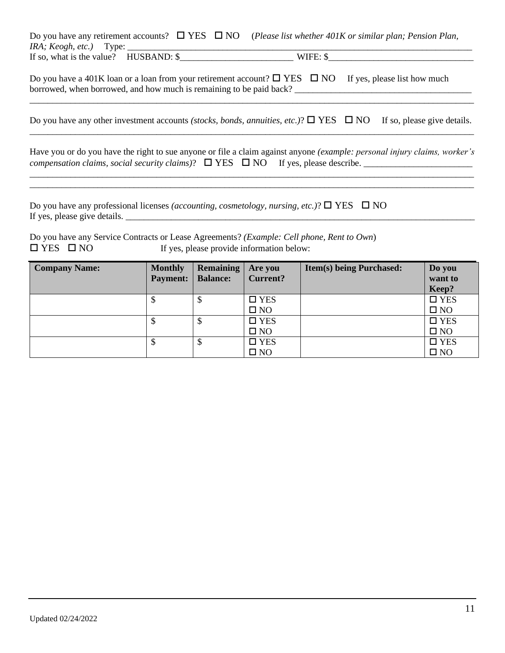|                                                  |  | Do you have any retirement accounts? $\Box$ YES $\Box$ NO (Please list whether 401K or similar plan; Pension Plan, |
|--------------------------------------------------|--|--------------------------------------------------------------------------------------------------------------------|
| <i>IRA</i> ; <i>Keogh</i> , <i>etc.</i> ) Type:  |  |                                                                                                                    |
| If so, what is the value? HUSBAND: $\frac{1}{2}$ |  | WIFE: \$                                                                                                           |
|                                                  |  |                                                                                                                    |

Do you have a 401K loan or a loan from your retirement account?  $\Box$  YES  $\Box$  NO If yes, please list how much borrowed, when borrowed, and how much is remaining to be paid back? \_\_\_\_\_\_\_\_\_\_\_\_\_\_\_\_\_\_\_\_\_\_\_\_\_\_\_\_\_\_\_\_\_\_\_\_\_\_\_

Do you have any other investment accounts *(stocks, bonds, annuities, etc.)*?  $\Box$  YES  $\Box$  NO If so, please give details. \_\_\_\_\_\_\_\_\_\_\_\_\_\_\_\_\_\_\_\_\_\_\_\_\_\_\_\_\_\_\_\_\_\_\_\_\_\_\_\_\_\_\_\_\_\_\_\_\_\_\_\_\_\_\_\_\_\_\_\_\_\_\_\_\_\_\_\_\_\_\_\_\_\_\_\_\_\_\_\_\_\_\_\_\_\_\_\_\_\_\_\_\_\_\_\_\_\_

\_\_\_\_\_\_\_\_\_\_\_\_\_\_\_\_\_\_\_\_\_\_\_\_\_\_\_\_\_\_\_\_\_\_\_\_\_\_\_\_\_\_\_\_\_\_\_\_\_\_\_\_\_\_\_\_\_\_\_\_\_\_\_\_\_\_\_\_\_\_\_\_\_\_\_\_\_\_\_\_\_\_\_\_\_\_\_\_\_\_\_\_\_\_\_\_\_\_

Have you or do you have the right to sue anyone or file a claim against anyone *(example: personal injury claims, worker's compensation claims, social security claims)?*  $\Box$  YES  $\Box$  NO If yes, please describe.

\_\_\_\_\_\_\_\_\_\_\_\_\_\_\_\_\_\_\_\_\_\_\_\_\_\_\_\_\_\_\_\_\_\_\_\_\_\_\_\_\_\_\_\_\_\_\_\_\_\_\_\_\_\_\_\_\_\_\_\_\_\_\_\_\_\_\_\_\_\_\_\_\_\_\_\_\_\_\_\_\_\_\_\_\_\_\_\_\_\_\_\_\_\_\_\_\_\_ \_\_\_\_\_\_\_\_\_\_\_\_\_\_\_\_\_\_\_\_\_\_\_\_\_\_\_\_\_\_\_\_\_\_\_\_\_\_\_\_\_\_\_\_\_\_\_\_\_\_\_\_\_\_\_\_\_\_\_\_\_\_\_\_\_\_\_\_\_\_\_\_\_\_\_\_\_\_\_\_\_\_\_\_\_\_\_\_\_\_\_\_\_\_\_\_\_\_

Do you have any professional licenses *(accounting, cosmetology, nursing, etc.)*?  $\Box$  YES  $\Box$  NO If yes, please give details.

Do you have any Service Contracts or Lease Agreements? *(Example: Cell phone, Rent to Own*)  $\Box$  YES  $\Box$  NO If yes, please provide information below:

| <b>Company Name:</b> | <b>Monthly</b>  | <b>Remaining</b> | Are you         | <b>Item(s) being Purchased:</b> | Do you        |
|----------------------|-----------------|------------------|-----------------|---------------------------------|---------------|
|                      | <b>Payment:</b> | <b>Balance:</b>  | <b>Current?</b> |                                 | want to       |
|                      |                 |                  |                 |                                 | Keep?         |
|                      | Ψ               | Φ                | $\square$ YES   |                                 | $\square$ YES |
|                      |                 |                  | $\square$ NO    |                                 | $\square$ NO  |
|                      | \$              | Φ                | $\square$ YES   |                                 | $\square$ YES |
|                      |                 |                  | $\square$ NO    |                                 | $\square$ NO  |
|                      | Φ               | Φ                | $\square$ YES   |                                 | $\square$ YES |
|                      |                 |                  | $\square$ NO    |                                 | $\square$ NO  |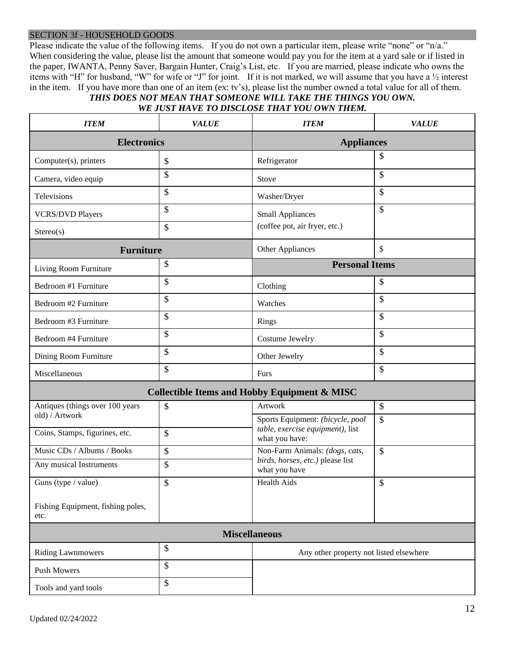#### SECTION 3f - HOUSEHOLD GOODS

Please indicate the value of the following items. If you do not own a particular item, please write "none" or "n/a." When considering the value, please list the amount that someone would pay you for the item at a yard sale or if listed in the paper, IWANTA, Penny Saver, Bargain Hunter, Craig's List, etc. If you are married, please indicate who owns the items with "H" for husband, "W" for wife or "J" for joint. If it is not marked, we will assume that you have a ½ interest in the item. If you have more than one of an item (ex: tv's), please list the number owned a total value for all of them.

#### *THIS DOES NOT MEAN THAT SOMEONE WILL TAKE THE THINGS YOU OWN. WE JUST HAVE TO DISCLOSE THAT YOU OWN THEM.*

| <b>ITEM</b>                                       | <b>VALUE</b>  | <b>ITEM</b>                                                          | <b>VALUE</b>  |  |
|---------------------------------------------------|---------------|----------------------------------------------------------------------|---------------|--|
| <b>Electronics</b>                                |               | <b>Appliances</b>                                                    |               |  |
| Computer(s), printers                             | \$            | Refrigerator                                                         | \$            |  |
| Camera, video equip                               | \$            | Stove                                                                | $\mathcal{S}$ |  |
| Televisions                                       | \$            | Washer/Dryer                                                         | $\mathcal{S}$ |  |
| <b>VCRS/DVD Players</b>                           | \$            | <b>Small Appliances</b>                                              | \$            |  |
| S <sub>tereo(s)</sub>                             | \$            | (coffee pot, air fryer, etc.)                                        |               |  |
| <b>Furniture</b>                                  |               | Other Appliances                                                     | \$            |  |
| Living Room Furniture                             | \$            | <b>Personal Items</b>                                                |               |  |
| Bedroom #1 Furniture                              | \$            | Clothing                                                             | \$            |  |
| Bedroom #2 Furniture                              | \$            | Watches                                                              | \$            |  |
| Bedroom #3 Furniture                              | \$            | Rings                                                                | $\mathcal{S}$ |  |
| Bedroom #4 Furniture                              | \$            | Costume Jewelry                                                      | \$            |  |
| Dining Room Furniture                             | \$            | Other Jewelry                                                        | $\mathcal{S}$ |  |
| Miscellaneous                                     | \$            | Furs                                                                 | \$            |  |
|                                                   |               | <b>Collectible Items and Hobby Equipment &amp; MISC</b>              |               |  |
| Antiques (things over 100 years<br>old) / Artwork | \$            | Artwork                                                              | $\mathcal{S}$ |  |
|                                                   | \$            | Sports Equipment: (bicycle, pool<br>table, exercise equipment), list | $\mathcal{S}$ |  |
| Coins, Stamps, figurines, etc.                    |               | what you have:                                                       |               |  |
| Music CDs / Albums / Books                        | $\mathcal{S}$ | Non-Farm Animals: (dogs, cats,<br>birds, horses, etc.) please list   | $\mathcal{S}$ |  |
| Any musical Instruments                           | \$            | what you have                                                        |               |  |
| Guns (type / value)                               | \$            | <b>Health Aids</b>                                                   | $\mathcal{L}$ |  |
| Fishing Equipment, fishing poles,<br>etc.         |               |                                                                      |               |  |
|                                                   |               | <b>Miscellaneous</b>                                                 |               |  |
| <b>Riding Lawnmowers</b>                          | \$            | Any other property not listed elsewhere                              |               |  |
| Push Mowers                                       | \$            |                                                                      |               |  |
| Tools and yard tools                              | \$            |                                                                      |               |  |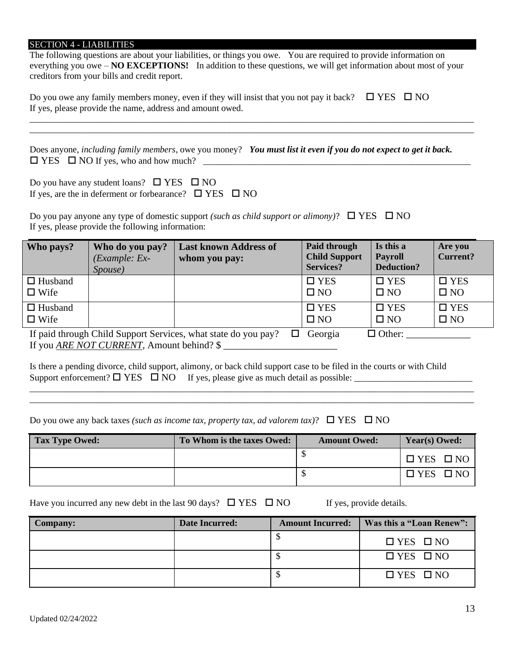#### SECTION 4 - LIABILITIES

The following questions are about your liabilities, or things you owe. You are required to provide information on everything you owe – **NO EXCEPTIONS!** In addition to these questions, we will get information about most of your creditors from your bills and credit report.

\_\_\_\_\_\_\_\_\_\_\_\_\_\_\_\_\_\_\_\_\_\_\_\_\_\_\_\_\_\_\_\_\_\_\_\_\_\_\_\_\_\_\_\_\_\_\_\_\_\_\_\_\_\_\_\_\_\_\_\_\_\_\_\_\_\_\_\_\_\_\_\_\_\_\_\_\_\_\_\_\_\_\_\_\_\_\_\_\_\_\_\_\_\_\_\_\_\_ \_\_\_\_\_\_\_\_\_\_\_\_\_\_\_\_\_\_\_\_\_\_\_\_\_\_\_\_\_\_\_\_\_\_\_\_\_\_\_\_\_\_\_\_\_\_\_\_\_\_\_\_\_\_\_\_\_\_\_\_\_\_\_\_\_\_\_\_\_\_\_\_\_\_\_\_\_\_\_\_\_\_\_\_\_\_\_\_\_\_\_\_\_\_\_\_\_\_

Do you owe any family members money, even if they will insist that you not pay it back?  $\Box$  YES  $\Box$  NO If yes, please provide the name, address and amount owed.

Does anyone, *including family members*, owe you money? *You must list it even if you do not expect to get it back.* YES NO If yes, who and how much? \_\_\_\_\_\_\_\_\_\_\_\_\_\_\_\_\_\_\_\_\_\_\_\_\_\_\_\_\_\_\_\_\_\_\_\_\_\_\_\_\_\_\_\_\_\_\_\_\_\_\_\_\_\_\_\_\_\_\_

Do you have any student loans?  $\square$  YES  $\square$  NO If yes, are the in deferment or forbearance?  $\Box$  YES  $\Box$  NO

Do you pay anyone any type of domestic support *(such as child support or alimony)*?  $\Box$  YES  $\Box$  NO If yes, please provide the following information:

| Who pays?                     | Who do you pay?<br>$(Example: Ex-$<br>Spouse) | <b>Last known Address of</b><br>whom you pay:                  | Paid through<br><b>Child Support</b><br><b>Services?</b> | Is this a<br><b>Payroll</b><br>Deduction? | Are you<br><b>Current?</b> |
|-------------------------------|-----------------------------------------------|----------------------------------------------------------------|----------------------------------------------------------|-------------------------------------------|----------------------------|
| $\Box$ Husband<br>$\Box$ Wife |                                               |                                                                | $\square$ YES<br>$\square$ NO                            | $\square$ YES<br>$\square$ NO             | $\Box$ YES<br>$\square$ NO |
| $\Box$ Husband<br>$\Box$ Wife |                                               |                                                                | $\square$ YES<br>$\square$ NO                            | $\square$ YES<br>$\square$ NO             | $\Box$ YES<br>$\square$ NO |
|                               |                                               | If paid through Child Support Services, what state do you pay? | Georgia                                                  | $\Box$ Other:                             |                            |

If you <u>ARE NOT CURRENT</u>, Amount behind? \$

Is there a pending divorce, child support, alimony, or back child support case to be filed in the courts or with Child Support enforcement?  $\Box$  YES  $\Box$  NO If yes, please give as much detail as possible:

| Do you owe any back taxes (such as income tax, property tax, ad valorem tax)? $\square$ YES $\square$ NO |  |  |  |  |  |  |  |
|----------------------------------------------------------------------------------------------------------|--|--|--|--|--|--|--|
|----------------------------------------------------------------------------------------------------------|--|--|--|--|--|--|--|

| <b>Tax Type Owed:</b> | To Whom is the taxes Owed: | <b>Amount Owed:</b> | <b>Year(s) Owed:</b> |
|-----------------------|----------------------------|---------------------|----------------------|
|                       |                            |                     | $\Box$ YES $\Box$ NO |
|                       |                            |                     | $\Box$ YES $\Box$ NO |

\_\_\_\_\_\_\_\_\_\_\_\_\_\_\_\_\_\_\_\_\_\_\_\_\_\_\_\_\_\_\_\_\_\_\_\_\_\_\_\_\_\_\_\_\_\_\_\_\_\_\_\_\_\_\_\_\_\_\_\_\_\_\_\_\_\_\_\_\_\_\_\_\_\_\_\_\_\_\_\_\_\_\_\_\_\_\_\_\_\_\_\_\_\_\_\_\_\_ \_\_\_\_\_\_\_\_\_\_\_\_\_\_\_\_\_\_\_\_\_\_\_\_\_\_\_\_\_\_\_\_\_\_\_\_\_\_\_\_\_\_\_\_\_\_\_\_\_\_\_\_\_\_\_\_\_\_\_\_\_\_\_\_\_\_\_\_\_\_\_\_\_\_\_\_\_\_\_\_\_\_\_\_\_\_\_\_\_\_\_\_\_\_\_\_\_\_

Have you incurred any new debt in the last 90 days?  $\Box$  YES  $\Box$  NO If yes, provide details.

| <b>Company:</b> | <b>Date Incurred:</b> | <b>Amount Incurred:</b> | Was this a "Loan Renew": |
|-----------------|-----------------------|-------------------------|--------------------------|
|                 |                       |                         | $\Box$ YES $\Box$ NO     |
|                 |                       |                         | $\Box$ YES $\Box$ NO     |
|                 |                       |                         | $\Box$ YES $\Box$ NO     |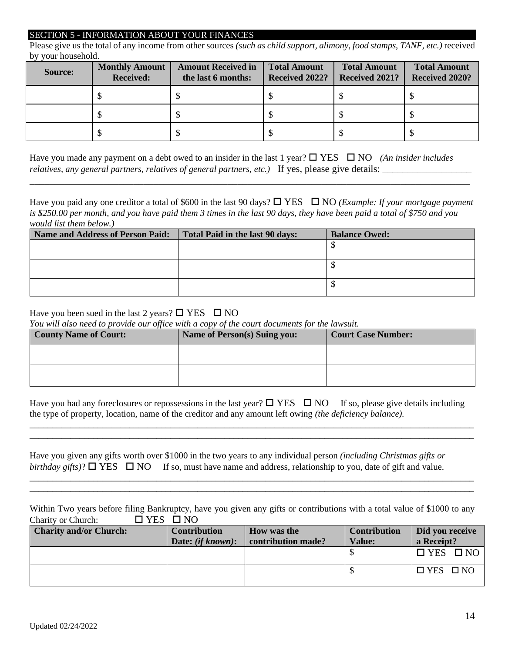#### SECTION 5 - INFORMATION ABOUT YOUR FINANCES

Please give us the total of any income from other sources *(such as child support, alimony, food stamps, TANF, etc.)* received by your household.

| <b>Source:</b> | <b>Monthly Amount</b><br><b>Received:</b> | <b>Amount Received in</b><br>the last 6 months: | <b>Total Amount</b><br>Received 2022? | <b>Total Amount</b><br>Received 2021? | <b>Total Amount</b><br><b>Received 2020?</b> |
|----------------|-------------------------------------------|-------------------------------------------------|---------------------------------------|---------------------------------------|----------------------------------------------|
|                |                                           |                                                 |                                       |                                       |                                              |
|                |                                           |                                                 |                                       |                                       |                                              |
|                |                                           |                                                 |                                       |                                       |                                              |

Have you made any payment on a debt owed to an insider in the last 1 year?  $\Box$  YES  $\Box$  NO *(An insider includes relatives, any general partners, relatives of general partners, etc.)* If yes, please give details:

Have you paid any one creditor a total of \$600 in the last 90 days?  $\Box$  YES  $\Box$  NO *(Example: If your mortgage payment is \$250.00 per month, and you have paid them 3 times in the last 90 days, they have been paid a total of \$750 and you would list them below.)*

\_\_\_\_\_\_\_\_\_\_\_\_\_\_\_\_\_\_\_\_\_\_\_\_\_\_\_\_\_\_\_\_\_\_\_\_\_\_\_\_\_\_\_\_\_\_\_\_\_\_\_\_\_\_\_\_\_\_\_\_\_\_\_\_\_\_\_\_\_\_\_\_\_\_\_\_\_\_\_\_\_\_\_\_\_\_\_\_\_

| Name and Address of Person Paid: | Total Paid in the last 90 days: | <b>Balance Owed:</b> |
|----------------------------------|---------------------------------|----------------------|
|                                  |                                 |                      |
|                                  |                                 |                      |
|                                  |                                 |                      |
|                                  |                                 |                      |
|                                  |                                 |                      |
|                                  |                                 |                      |

#### Have you been sued in the last 2 years?  $\Box$  YES  $\Box$  NO

*You will also need to provide our office with a copy of the court documents for the lawsuit.*

| <b>County Name of Court:</b> | <b>Name of Person(s) Suing you:</b> | <b>Court Case Number:</b> |
|------------------------------|-------------------------------------|---------------------------|
|                              |                                     |                           |
|                              |                                     |                           |

Have you had any foreclosures or repossessions in the last year?  $\Box$  YES  $\Box$  NO If so, please give details including the type of property, location, name of the creditor and any amount left owing *(the deficiency balance).*

\_\_\_\_\_\_\_\_\_\_\_\_\_\_\_\_\_\_\_\_\_\_\_\_\_\_\_\_\_\_\_\_\_\_\_\_\_\_\_\_\_\_\_\_\_\_\_\_\_\_\_\_\_\_\_\_\_\_\_\_\_\_\_\_\_\_\_\_\_\_\_\_\_\_\_\_\_\_\_\_\_\_\_\_\_\_\_\_\_\_\_\_\_\_\_\_\_\_ \_\_\_\_\_\_\_\_\_\_\_\_\_\_\_\_\_\_\_\_\_\_\_\_\_\_\_\_\_\_\_\_\_\_\_\_\_\_\_\_\_\_\_\_\_\_\_\_\_\_\_\_\_\_\_\_\_\_\_\_\_\_\_\_\_\_\_\_\_\_\_\_\_\_\_\_\_\_\_\_\_\_\_\_\_\_\_\_\_\_\_\_\_\_\_\_\_\_

|  | Have you given any gifts worth over \$1000 in the two years to any individual person <i>(including Christmas gifts or</i>     |
|--|-------------------------------------------------------------------------------------------------------------------------------|
|  | <i>birthday gifts</i> )? $\Box$ YES $\Box$ NO If so, must have name and address, relationship to you, date of gift and value. |

Within Two years before filing Bankruptcy, have you given any gifts or contributions with a total value of \$1000 to any Charity or Church:  $\Box$  YES  $\Box$  NO

\_\_\_\_\_\_\_\_\_\_\_\_\_\_\_\_\_\_\_\_\_\_\_\_\_\_\_\_\_\_\_\_\_\_\_\_\_\_\_\_\_\_\_\_\_\_\_\_\_\_\_\_\_\_\_\_\_\_\_\_\_\_\_\_\_\_\_\_\_\_\_\_\_\_\_\_\_\_\_\_\_\_\_\_\_\_\_\_\_\_\_\_\_\_\_\_\_\_ \_\_\_\_\_\_\_\_\_\_\_\_\_\_\_\_\_\_\_\_\_\_\_\_\_\_\_\_\_\_\_\_\_\_\_\_\_\_\_\_\_\_\_\_\_\_\_\_\_\_\_\_\_\_\_\_\_\_\_\_\_\_\_\_\_\_\_\_\_\_\_\_\_\_\_\_\_\_\_\_\_\_\_\_\_\_\_\_\_\_\_\_\_\_\_\_\_\_

| <b>Charity and/or Church:</b> | <b>Contribution</b><br>Date: <i>(if known)</i> : | <b>How was the</b><br>contribution made? | <b>Contribution</b><br><b>Value:</b> | Did you receive<br>a Receipt? |
|-------------------------------|--------------------------------------------------|------------------------------------------|--------------------------------------|-------------------------------|
|                               |                                                  |                                          |                                      | '□ YES □ NO                   |
|                               |                                                  |                                          |                                      | $\Box$ YES $\Box$ NO          |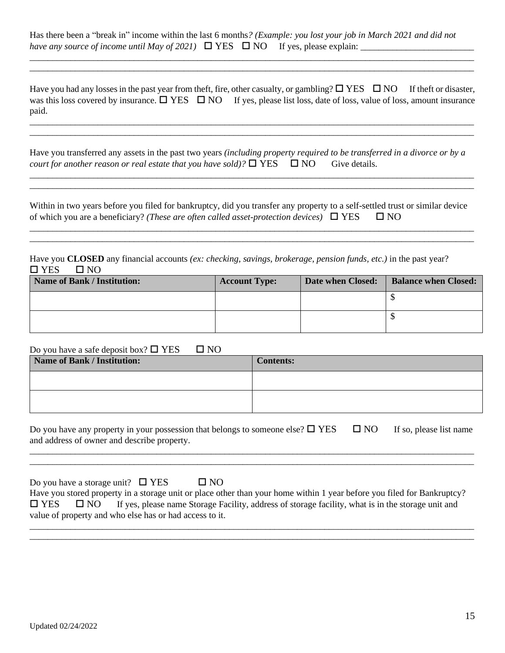Has there been a "break in" income within the last 6 months*? (Example: you lost your job in March 2021 and did not have any source of income until May of 2021*)  $\Box$  YES  $\Box$  NO If yes, please explain:

 $\overline{\phantom{a}}$  , and the contract of the contract of the contract of the contract of the contract of the contract of the contract of the contract of the contract of the contract of the contract of the contract of the contrac

\_\_\_\_\_\_\_\_\_\_\_\_\_\_\_\_\_\_\_\_\_\_\_\_\_\_\_\_\_\_\_\_\_\_\_\_\_\_\_\_\_\_\_\_\_\_\_\_\_\_\_\_\_\_\_\_\_\_\_\_\_\_\_\_\_\_\_\_\_\_\_\_\_\_\_\_\_\_\_\_\_\_\_\_\_\_\_\_\_\_\_\_\_\_\_\_\_\_

Have you had any losses in the past year from theft, fire, other casualty, or gambling?  $\Box$  YES  $\Box$  NO If theft or disaster, was this loss covered by insurance.  $\Box$  YES  $\Box$  NO If yes, please list loss, date of loss, value of loss, amount insurance paid.

\_\_\_\_\_\_\_\_\_\_\_\_\_\_\_\_\_\_\_\_\_\_\_\_\_\_\_\_\_\_\_\_\_\_\_\_\_\_\_\_\_\_\_\_\_\_\_\_\_\_\_\_\_\_\_\_\_\_\_\_\_\_\_\_\_\_\_\_\_\_\_\_\_\_\_\_\_\_\_\_\_\_\_\_\_\_\_\_\_\_\_\_\_\_\_\_\_\_ \_\_\_\_\_\_\_\_\_\_\_\_\_\_\_\_\_\_\_\_\_\_\_\_\_\_\_\_\_\_\_\_\_\_\_\_\_\_\_\_\_\_\_\_\_\_\_\_\_\_\_\_\_\_\_\_\_\_\_\_\_\_\_\_\_\_\_\_\_\_\_\_\_\_\_\_\_\_\_\_\_\_\_\_\_\_\_\_\_\_\_\_\_\_\_\_\_\_

\_\_\_\_\_\_\_\_\_\_\_\_\_\_\_\_\_\_\_\_\_\_\_\_\_\_\_\_\_\_\_\_\_\_\_\_\_\_\_\_\_\_\_\_\_\_\_\_\_\_\_\_\_\_\_\_\_\_\_\_\_\_\_\_\_\_\_\_\_\_\_\_\_\_\_\_\_\_\_\_\_\_\_\_\_\_\_\_\_\_\_\_\_\_\_\_\_\_

Have you transferred any assets in the past two years *(including property required to be transferred in a divorce or by a court for another reason or real estate that you have sold)?*  $\Box$  YES  $\Box$  NO Give details.

Within in two years before you filed for bankruptcy, did you transfer any property to a self-settled trust or similar device of which you are a beneficiary? *(These are often called asset-protection devices)*  $\Box$  YES  $\Box$  NO

\_\_\_\_\_\_\_\_\_\_\_\_\_\_\_\_\_\_\_\_\_\_\_\_\_\_\_\_\_\_\_\_\_\_\_\_\_\_\_\_\_\_\_\_\_\_\_\_\_\_\_\_\_\_\_\_\_\_\_\_\_\_\_\_\_\_\_\_\_\_\_\_\_\_\_\_\_\_\_\_\_\_\_\_\_\_\_\_\_\_\_\_\_\_\_\_\_\_

 $\_$  ,  $\_$  ,  $\_$  ,  $\_$  ,  $\_$  ,  $\_$  ,  $\_$  ,  $\_$  ,  $\_$  ,  $\_$  ,  $\_$  ,  $\_$  ,  $\_$  ,  $\_$  ,  $\_$  ,  $\_$  ,  $\_$  ,  $\_$  ,  $\_$  ,  $\_$  ,  $\_$  ,  $\_$  ,  $\_$  ,  $\_$  ,  $\_$  ,  $\_$  ,  $\_$  ,  $\_$  ,  $\_$  ,  $\_$  ,  $\_$  ,  $\_$  ,  $\_$  ,  $\_$  ,  $\_$  ,  $\_$  ,  $\_$  ,

Have you **CLOSED** any financial accounts *(ex: checking, savings, brokerage, pension funds, etc.)* in the past year?  $\Box$  YES  $\Box$  NO

| <b>Name of Bank / Institution:</b> | <b>Account Type:</b> | Date when Closed: | <b>Balance when Closed:</b> |
|------------------------------------|----------------------|-------------------|-----------------------------|
|                                    |                      |                   |                             |
|                                    |                      |                   |                             |

| Do you have a safe deposit box? $\square$ YES $\square$ NO |                  |
|------------------------------------------------------------|------------------|
| Name of Bank / Institution:                                | <b>Contents:</b> |
|                                                            |                  |
|                                                            |                  |
|                                                            |                  |
|                                                            |                  |

Do you have any property in your possession that belongs to someone else?  $\Box$  YES  $\Box$  NO If so, please list name and address of owner and describe property.

| _______ |  |
|---------|--|
|         |  |
|         |  |
|         |  |
|         |  |
|         |  |

| Do you have a storage unit? $\Box$ YES                  |              | $\Box$ NO                                                                                                               |  |
|---------------------------------------------------------|--------------|-------------------------------------------------------------------------------------------------------------------------|--|
|                                                         |              | Have you stored property in a storage unit or place other than your home within 1 year before you filed for Bankruptcy? |  |
| $\square$ YES                                           | $\square$ NO | If yes, please name Storage Facility, address of storage facility, what is in the storage unit and                      |  |
| value of property and who else has or had access to it. |              |                                                                                                                         |  |

\_\_\_\_\_\_\_\_\_\_\_\_\_\_\_\_\_\_\_\_\_\_\_\_\_\_\_\_\_\_\_\_\_\_\_\_\_\_\_\_\_\_\_\_\_\_\_\_\_\_\_\_\_\_\_\_\_\_\_\_\_\_\_\_\_\_\_\_\_\_\_\_\_\_\_\_\_\_\_\_\_\_\_\_\_\_\_\_\_\_\_\_\_\_\_\_\_\_ \_\_\_\_\_\_\_\_\_\_\_\_\_\_\_\_\_\_\_\_\_\_\_\_\_\_\_\_\_\_\_\_\_\_\_\_\_\_\_\_\_\_\_\_\_\_\_\_\_\_\_\_\_\_\_\_\_\_\_\_\_\_\_\_\_\_\_\_\_\_\_\_\_\_\_\_\_\_\_\_\_\_\_\_\_\_\_\_\_\_\_\_\_\_\_\_\_\_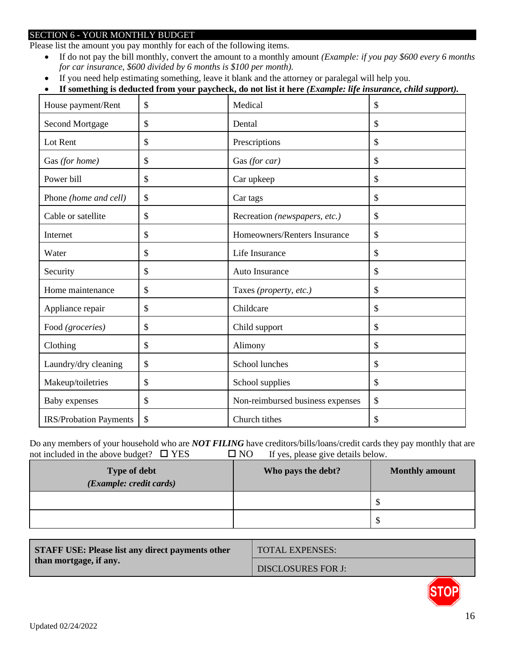# SECTION 6 - YOUR MONTHLY BUDGET

Please list the amount you pay monthly for each of the following items.

- If do not pay the bill monthly, convert the amount to a monthly amount *(Example: if you pay \$600 every 6 months for car insurance, \$600 divided by 6 months is \$100 per month).*
- If you need help estimating something, leave it blank and the attorney or paralegal will help you.
- **If something is deducted from your paycheck, do not list it here** *(Example: life insurance, child support).*

| House payment/Rent            | \$<br>Medical                          | \$ |
|-------------------------------|----------------------------------------|----|
| <b>Second Mortgage</b>        | \$<br>Dental                           | \$ |
| Lot Rent                      | \$<br>Prescriptions                    | \$ |
| Gas (for home)                | \$<br>Gas (for car)                    | \$ |
| Power bill                    | \$<br>Car upkeep                       | \$ |
| Phone (home and cell)         | \$<br>Car tags                         | \$ |
| Cable or satellite            | \$<br>Recreation (newspapers, etc.)    | \$ |
| Internet                      | \$<br>Homeowners/Renters Insurance     | \$ |
| Water                         | \$<br>Life Insurance                   | \$ |
| Security                      | \$<br>Auto Insurance                   | \$ |
| Home maintenance              | \$<br>Taxes (property, etc.)           | \$ |
| Appliance repair              | \$<br>Childcare                        | \$ |
| Food (groceries)              | \$<br>Child support                    | \$ |
| Clothing                      | \$<br>Alimony                          | \$ |
| Laundry/dry cleaning          | \$<br>School lunches                   | \$ |
| Makeup/toiletries             | \$<br>School supplies                  | \$ |
| Baby expenses                 | \$<br>Non-reimbursed business expenses | \$ |
| <b>IRS/Probation Payments</b> | \$<br>Church tithes                    | \$ |

Do any members of your household who are *NOT FILING* have creditors/bills/loans/credit cards they pay monthly that are not included in the above budget?  $\Box$  YES  $\Box$  NO If yes, please give details below.

| <b>Type of debt</b><br>(Example: credit cards) | Who pays the debt? | <b>Monthly amount</b> |
|------------------------------------------------|--------------------|-----------------------|
|                                                |                    | D                     |
|                                                |                    | œ<br>Φ                |

| <b>STAFF USE: Please list any direct payments other</b><br>than mortgage, if any. | <b>TOTAL EXPENSES:</b>    |
|-----------------------------------------------------------------------------------|---------------------------|
|                                                                                   | <b>DISCLOSURES FOR J:</b> |

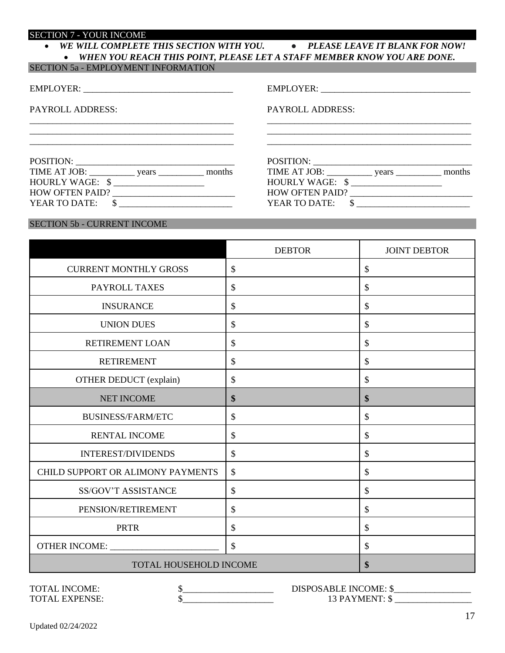#### SECTION 7 - YOUR INCOME

| WE WILL COMPLETE THIS SECTION WITH YOU.                                   | • PLEASE LEAVE IT BLANK FOR NOW! |
|---------------------------------------------------------------------------|----------------------------------|
| • WHEN YOU REACH THIS POINT, PLEASE LET A STAFF MEMBER KNOW YOU ARE DONE. |                                  |

| SECTION 5a - EMPLOYMENT INFORMATION |  |
|-------------------------------------|--|
|                                     |  |

| <b>EMPLOYER:</b> |
|------------------|
|                  |

PAYROLL ADDRESS:

EMPLOYER: \_\_\_\_\_\_\_\_\_\_\_\_\_\_\_\_\_\_\_\_\_\_\_\_\_\_\_\_\_\_\_\_\_

PAYROLL ADDRESS:

\_\_\_\_\_\_\_\_\_\_\_\_\_\_\_\_\_\_\_\_\_\_\_\_\_\_\_\_\_\_\_\_\_\_\_\_\_\_\_\_\_\_\_\_\_

\_\_\_\_\_\_\_\_\_\_\_\_\_\_\_\_\_\_\_\_\_\_\_\_\_\_\_\_\_\_\_\_\_\_\_\_\_\_\_\_\_\_\_\_\_

POSITION: \_\_\_\_\_\_\_\_\_\_\_\_\_\_\_\_\_\_\_\_\_\_\_\_\_\_\_\_\_\_\_\_\_\_\_ TIME AT JOB: \_\_\_\_\_\_\_\_\_\_ years \_\_\_\_\_\_\_\_\_\_ months

HOW OFTEN PAID? \_\_\_\_\_\_\_\_\_\_\_\_\_\_\_\_\_\_\_\_\_\_\_\_\_\_\_ YEAR TO DATE:  $\quad \quad \text{\AA}$ 

HOURLY WAGE:  $\frac{\sqrt{3}}{2}$ 

| POSITION:              |       |        |
|------------------------|-------|--------|
| TIME AT JOB:           | years | months |
| HOURLY WAGE: \$        |       |        |
| <b>HOW OFTEN PAID?</b> |       |        |
| YEAR TO DATE:          |       |        |

\_\_\_\_\_\_\_\_\_\_\_\_\_\_\_\_\_\_\_\_\_\_\_\_\_\_\_\_\_\_\_\_\_\_\_\_\_\_\_\_\_\_\_\_\_ \_\_\_\_\_\_\_\_\_\_\_\_\_\_\_\_\_\_\_\_\_\_\_\_\_\_\_\_\_\_\_\_\_\_\_\_\_\_\_\_\_\_\_\_\_

# SECTION 5b - CURRENT INCOME

|                                   | <b>DEBTOR</b>             | <b>JOINT DEBTOR</b> |
|-----------------------------------|---------------------------|---------------------|
| <b>CURRENT MONTHLY GROSS</b>      | \$                        | \$                  |
| PAYROLL TAXES                     | \$                        | \$                  |
| <b>INSURANCE</b>                  | \$                        | \$                  |
| <b>UNION DUES</b>                 | \$                        | \$                  |
| <b>RETIREMENT LOAN</b>            | $\boldsymbol{\mathsf{S}}$ | \$                  |
| <b>RETIREMENT</b>                 | $\boldsymbol{\mathsf{S}}$ | \$                  |
| OTHER DEDUCT (explain)            | $\boldsymbol{\mathsf{S}}$ | \$                  |
| <b>NET INCOME</b>                 | \$                        | \$                  |
| <b>BUSINESS/FARM/ETC</b>          | $\boldsymbol{\mathsf{S}}$ | \$                  |
| <b>RENTAL INCOME</b>              | \$                        | \$                  |
| <b>INTEREST/DIVIDENDS</b>         | $\boldsymbol{\mathsf{S}}$ | \$                  |
| CHILD SUPPORT OR ALIMONY PAYMENTS | $\boldsymbol{\mathsf{S}}$ | \$                  |
| <b>SS/GOV'T ASSISTANCE</b>        | \$                        | \$                  |
| PENSION/RETIREMENT                | \$                        | \$                  |
| <b>PRTR</b>                       | \$                        | \$                  |
| OTHER INCOME:                     | $\boldsymbol{\mathsf{S}}$ | \$                  |
| TOTAL HOUSEHOLD INCOME            |                           | \$                  |

TOTAL INCOME:  $$\underbrace{\$$  DISPOSABLE INCOME: \$ TOTAL EXPENSE:  $\frac{13 \text{ PAYMENT: } \$}{}$